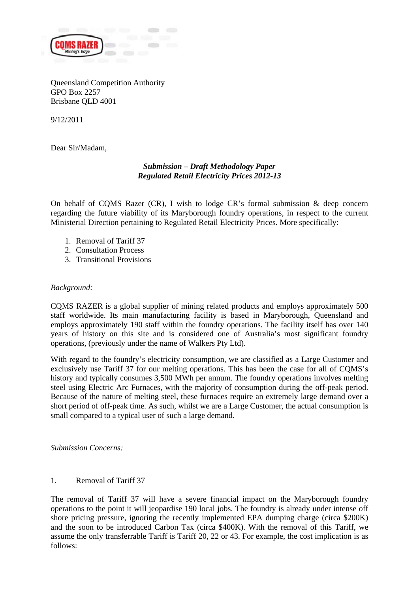

Queensland Competition Authority GPO Box 2257 Brisbane QLD 4001

9/12/2011

Dear Sir/Madam,

# *Submission – Draft Methodology Paper Regulated Retail Electricity Prices 2012-13*

On behalf of CQMS Razer (CR), I wish to lodge CR's formal submission  $\&$  deep concern regarding the future viability of its Maryborough foundry operations, in respect to the current Ministerial Direction pertaining to Regulated Retail Electricity Prices. More specifically:

- 1. Removal of Tariff 37
- 2. Consultation Process
- 3. Transitional Provisions

#### *Background:*

CQMS RAZER is a global supplier of mining related products and employs approximately 500 staff worldwide. Its main manufacturing facility is based in Maryborough, Queensland and employs approximately 190 staff within the foundry operations. The facility itself has over 140 years of history on this site and is considered one of Australia's most significant foundry operations, (previously under the name of Walkers Pty Ltd).

With regard to the foundry's electricity consumption, we are classified as a Large Customer and exclusively use Tariff 37 for our melting operations. This has been the case for all of CQMS's history and typically consumes 3,500 MWh per annum. The foundry operations involves melting steel using Electric Arc Furnaces, with the majority of consumption during the off-peak period. Because of the nature of melting steel, these furnaces require an extremely large demand over a short period of off-peak time. As such, whilst we are a Large Customer, the actual consumption is small compared to a typical user of such a large demand.

*Submission Concerns:* 

#### 1. Removal of Tariff 37

The removal of Tariff 37 will have a severe financial impact on the Maryborough foundry operations to the point it will jeopardise 190 local jobs. The foundry is already under intense off shore pricing pressure, ignoring the recently implemented EPA dumping charge (circa \$200K) and the soon to be introduced Carbon Tax (circa \$400K). With the removal of this Tariff, we assume the only transferrable Tariff is Tariff 20, 22 or 43. For example, the cost implication is as follows: